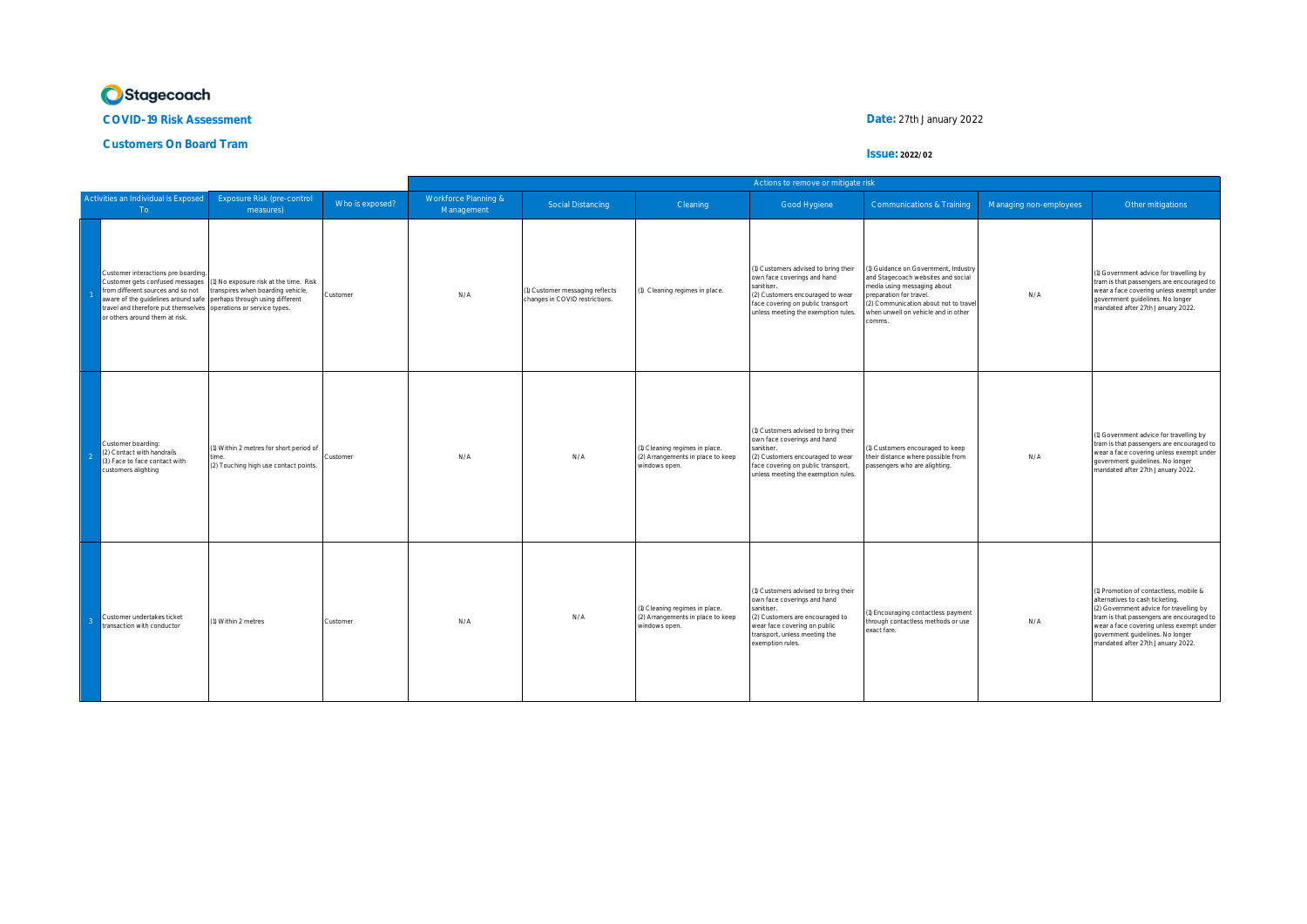

**COVID-19 Risk Assessment Date:** 27th January 2022

**Customers On Board Tram**

## **Issue: 2022/02**

|  |                                                                                                                                                                                                                            |                                                                                                                                                |                 | Actions to remove or mitigate risk |                                                                   |                                                                                      |                                                                                                                                                                                                           |                                                                                                                                                                                                                            |                        |                                                                                                                                                                                                                                                                                        |  |
|--|----------------------------------------------------------------------------------------------------------------------------------------------------------------------------------------------------------------------------|------------------------------------------------------------------------------------------------------------------------------------------------|-----------------|------------------------------------|-------------------------------------------------------------------|--------------------------------------------------------------------------------------|-----------------------------------------------------------------------------------------------------------------------------------------------------------------------------------------------------------|----------------------------------------------------------------------------------------------------------------------------------------------------------------------------------------------------------------------------|------------------------|----------------------------------------------------------------------------------------------------------------------------------------------------------------------------------------------------------------------------------------------------------------------------------------|--|
|  | Activities an Individual is Exposed<br>To a                                                                                                                                                                                | Exposure Risk (pre-control<br>measures)                                                                                                        | Who is exposed? | Workforce Planning &<br>Management | Social Distancing                                                 | Cleaning                                                                             | Good Hygiene                                                                                                                                                                                              | <b>Communications &amp; Training</b>                                                                                                                                                                                       | Managing non-employees | Other mitigations                                                                                                                                                                                                                                                                      |  |
|  | Customer interactions pre boarding<br>Customer gets confused messages<br>from different sources and so not<br>aware of the guidelines around safe<br>travel and therefore put themselves<br>or others around them at risk. | (1) No exposure risk at the time. Risk<br>transpires when boarding vehicle,<br>perhaps through using different<br>operations or service types. | Customer        | N/A                                | (1) Customer messaging reflects<br>changes in COVID restrictions. | 1) Cleaning regimes in place.                                                        | (1) Customers advised to bring their<br>own face coverings and hand<br>sanitiser.<br>(2) Customers encouraged to wear<br>face covering on public transport<br>unless meeting the exemption rules.         | 1) Guidance on Government, Industry<br>and Stagecoach websites and social<br>media using messaging about<br>preparation for travel.<br>(2) Communication about not to trave<br>when unwell on vehicle and in other<br>omms | N/A                    | (1) Government advice for travelling by<br>tram is that passengers are encouraged to<br>wear a face covering unless exempt under<br>government guidelines. No longer<br>mandated after 27th January 2022.                                                                              |  |
|  | Customer boarding:<br>(2) Contact with handrails<br>(3) Face to face contact with<br>customers alighting                                                                                                                   | 1) Within 2 metres for short period of<br>(2) Touching high use contact points.                                                                | Customer        | N/A                                | N/A                                                               | (1) Cleaning regimes in place.<br>(2) Arrangements in place to keep<br>vindows open. | (1) Customers advised to bring their<br>own face coverings and hand<br>sanitiser.<br>(2) Customers encouraged to wear<br>face covering on public transport,<br>unless meeting the exemption rules.        | (1) Customers encouraged to keep<br>their distance where possible from<br>assengers who are alighting.                                                                                                                     | N/A                    | (1) Government advice for travelling by<br>tram is that passengers are encouraged to<br>wear a face covering unless exempt under<br>government guidelines. No longer<br>mandated after 27th January 2022.                                                                              |  |
|  | Customer undertakes ticket<br>transaction with conductor                                                                                                                                                                   | 1) Within 2 metres                                                                                                                             | Customer        | N/A                                | N/A                                                               | (1) Cleaning regimes in place.<br>(2) Arrangements in place to keep<br>windows open. | (1) Customers advised to bring their<br>own face coverings and hand<br>sanitiser.<br>(2) Customers are encouraged to<br>wear face covering on public<br>transport, unless meeting the<br>exemption rules. | (1) Encouraging contactless payment<br>through contactless methods or use<br>exact fare.                                                                                                                                   | N/A                    | (1) Promotion of contactless, mobile &<br>alternatives to cash ticketing.<br>(2) Government advice for travelling by<br>tram is that passengers are encouraged to<br>wear a face covering unless exempt under<br>government guidelines. No longer<br>mandated after 27th January 2022. |  |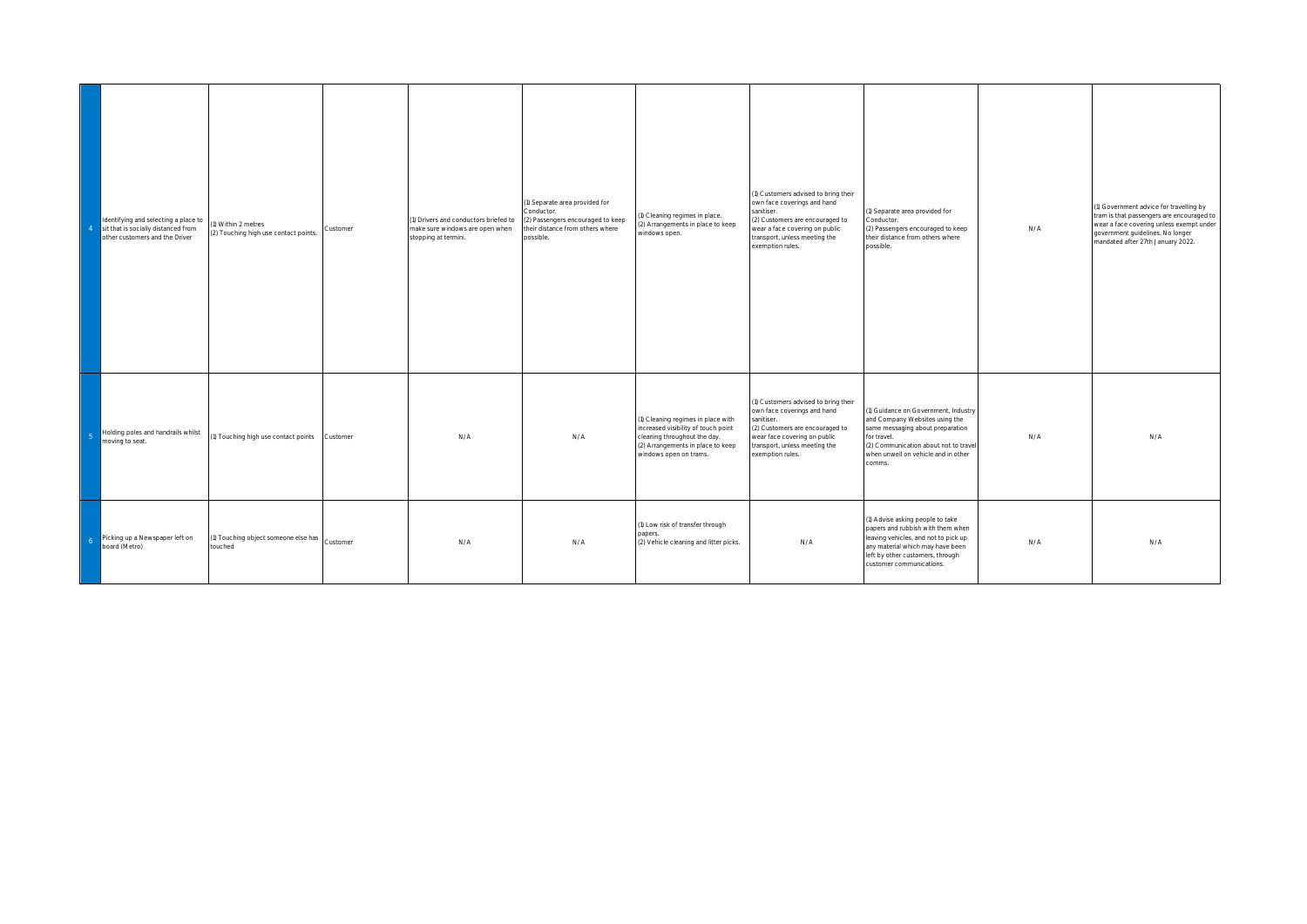| $\overline{4}$ | Identifying and selecting a place to<br>sit that is socially distanced from<br>other customers and the Driver | (1) Within 2 metres<br>(2) Touching high use contact points. | Customer | 1) Drivers and conductors briefed to<br>make sure windows are open when<br>stopping at termini. | (1) Separate area provided for<br>Conductor.<br>(2) Passengers encouraged to keep<br>their distance from others where<br>possible. | ) Cleaning regimes in place.<br>(2) Arrangements in place to keep<br>windows open.                                                                                       | (1) Customers advised to bring their<br>own face coverings and hand<br>sanitiser.<br>(2) Customers are encouraged to<br>wear a face covering on public<br>transport, unless meeting the<br>exemption rules. | 1) Separate area provided for<br>Conductor.<br>(2) Passengers encouraged to keep<br>their distance from others where<br>possible.                                                                                  | N/A | 1) Government advice for travelling by<br>tram is that passengers are encouraged to<br>wear a face covering unless exempt under<br>government guidelines. No longer<br>mandated after 27th January 2022. |
|----------------|---------------------------------------------------------------------------------------------------------------|--------------------------------------------------------------|----------|-------------------------------------------------------------------------------------------------|------------------------------------------------------------------------------------------------------------------------------------|--------------------------------------------------------------------------------------------------------------------------------------------------------------------------|-------------------------------------------------------------------------------------------------------------------------------------------------------------------------------------------------------------|--------------------------------------------------------------------------------------------------------------------------------------------------------------------------------------------------------------------|-----|----------------------------------------------------------------------------------------------------------------------------------------------------------------------------------------------------------|
|                | Holding poles and handrails whilst<br>moving to seat.                                                         | (1) Touching high use contact points Customer                |          | N/A                                                                                             | N/A                                                                                                                                | (1) Cleaning regimes in place with<br>increased visibility of touch point<br>cleaning throughout the day.<br>(2) Arrangements in place to keep<br>windows open on trams. | (1) Customers advised to bring their<br>own face coverings and hand<br>sanitiser.<br>(2) Customers are encouraged to<br>wear face covering on public<br>transport, unless meeting the<br>exemption rules.   | (1) Guidance on Government, Industry<br>and Company Websites using the<br>same messaging about preparation<br>for travel.<br>(2) Communication about not to trave<br>when unwell on vehicle and in other<br>comms. | N/A | N/A                                                                                                                                                                                                      |
| - 6            | Picking up a Newspaper left on<br>board (Metro)                                                               | (1) Touching object someone else has Customer<br>touched     |          | N/A                                                                                             | N/A                                                                                                                                | (1) Low risk of transfer through<br>apers.<br>(2) Vehicle cleaning and litter picks.                                                                                     | N/A                                                                                                                                                                                                         | (1) Advise asking people to take<br>papers and rubbish with them when<br>leaving vehicles, and not to pick up<br>any material which may have been<br>left by other customers, through<br>customer communications.  | N/A | N/A                                                                                                                                                                                                      |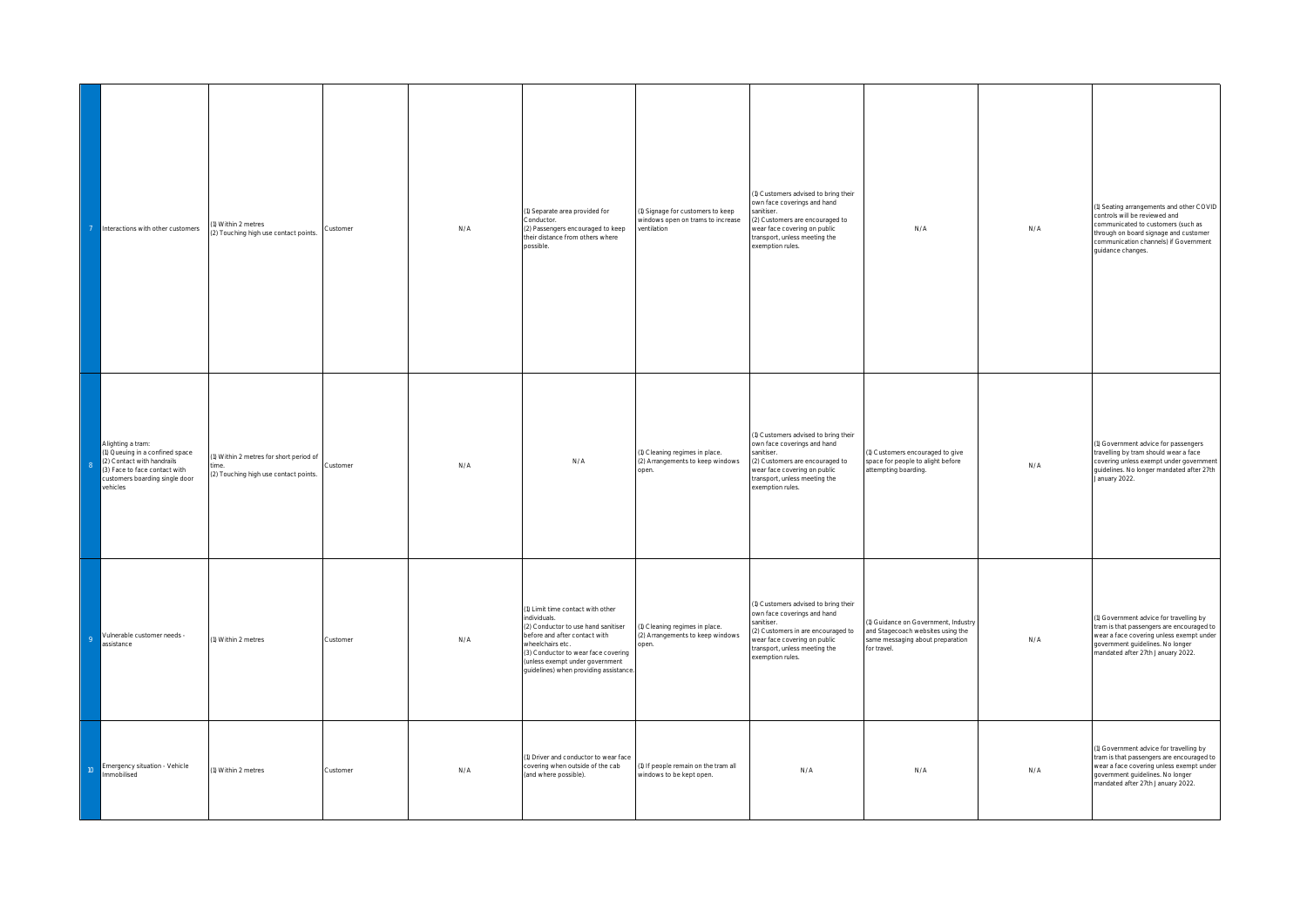|                | Interactions with other customers                                                                                                                                | I) Within 2 metres<br>(2) Touching high use contact points.                            | Customer | N/A | (1) Separate area provided for<br>Conductor.<br>(2) Passengers encouraged to keep<br>heir distance from others where<br>possible                                                                                                                                | (1) Signage for customers to keep<br>windows open on trams to increase<br>ventilation | (1) Customers advised to bring their<br>own face coverings and hand<br>sanitiser<br>(2) Customers are encouraged to<br>wear face covering on public<br>transport, unless meeting the<br>exemption rules.     | N/A                                                                                                                        | N/A | 1) Seating arrangements and other COVID<br>controls will be reviewed and<br>communicated to customers (such as<br>through on board signage and customer<br>communication channels) if Government<br>guidance changes. |
|----------------|------------------------------------------------------------------------------------------------------------------------------------------------------------------|----------------------------------------------------------------------------------------|----------|-----|-----------------------------------------------------------------------------------------------------------------------------------------------------------------------------------------------------------------------------------------------------------------|---------------------------------------------------------------------------------------|--------------------------------------------------------------------------------------------------------------------------------------------------------------------------------------------------------------|----------------------------------------------------------------------------------------------------------------------------|-----|-----------------------------------------------------------------------------------------------------------------------------------------------------------------------------------------------------------------------|
|                | Alighting a tram:<br>1) Queuing in a confined space<br>(2) Contact with handrails<br>(3) Face to face contact with<br>customers boarding single door<br>vehicles | 1) Within 2 metres for short period of<br>ime<br>(2) Touching high use contact points. | Customer | N/A | N/A                                                                                                                                                                                                                                                             | (1) Cleaning regimes in place.<br>(2) Arrangements to keep windows<br>open.           | (1) Customers advised to bring their<br>own face coverings and hand<br>sanitiser.<br>(2) Customers are encouraged to<br>wear face covering on public<br>transport, unless meeting the<br>exemption rules.    | (1) Customers encouraged to give<br>space for people to alight before<br>attempting boarding.                              | N/A | (1) Government advice for passengers<br>travelling by tram should wear a face<br>covering unless exempt under government<br>guidelines. No longer mandated after 27th<br>January 2022.                                |
| $\overline{Q}$ | Vulnerable customer needs -<br>assistance                                                                                                                        | (1) Within 2 metres                                                                    | Customer | N/A | (1) Limit time contact with other<br>individuals.<br>(2) Conductor to use hand sanitiser<br>before and after contact with<br>wheelchairs etc.<br>(3) Conductor to wear face covering<br>(unless exempt under government<br>guidelines) when providing assistanc | (1) Cleaning regimes in place.<br>(2) Arrangements to keep windows<br>open.           | (1) Customers advised to bring their<br>own face coverings and hand<br>sanitiser.<br>(2) Customers in are encouraged to<br>vear face covering on public<br>transport, unless meeting the<br>exemption rules. | 1) Guidance on Government, Industry<br>and Stagecoach websites using the<br>same messaging about preparation<br>or travel. | N/A | (1) Government advice for travelling by<br>tram is that passengers are encouraged to<br>wear a face covering unless exempt under<br>government guidelines. No longer<br>mandated after 27th January 2022.             |
| $10-10$        | Emergency situation - Vehicle<br>Immobilised                                                                                                                     | (1) Within 2 metres                                                                    | Customer | N/A | (1) Driver and conductor to wear face<br>covering when outside of the cab<br>(and where possible).                                                                                                                                                              | (1) If people remain on the tram all<br>windows to be kept open.                      | N/A                                                                                                                                                                                                          | N/A                                                                                                                        | N/A | (1) Government advice for travelling by<br>tram is that passengers are encouraged to<br>wear a face covering unless exempt under<br>government guidelines. No longer<br>mandated after 27th January 2022.             |